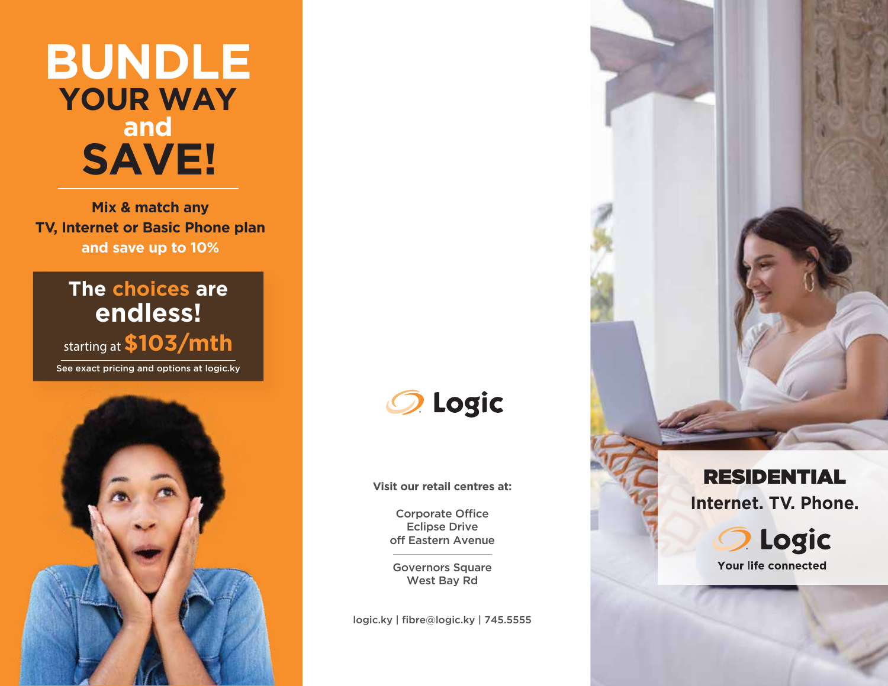# **BUNDLE YOUR WAY and SAVE!**

**Mix & match any TV, Internet or Basic Phone plan and save up to 10%**

> **The choices are endless!**

See exact pricing and options at logic.ky starting at **\$103/mth**





**Visit our retail centres at:**

Corporate Office Eclipse Drive off Eastern Avenue

Governors Square West Bay Rd

logic.ky | fibre@logic.ky | 745.5555





Your life connected